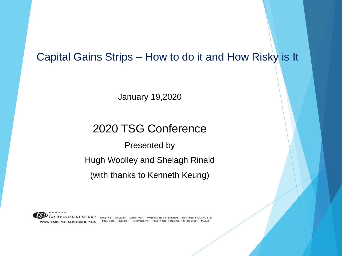#### Capital Gains Strips – How to do it and How Risky is It

January 19,2020

#### 2020 TSG Conference

Presented by

Hugh Woolley and Shelagh Rinald

(with thanks to Kenneth Keung)

WWW.TAXSPECIALISTGROUP.CA

PECIALIST GROUP TORONTO | CALGARY | EDMONTON | VANCOUVER | MONTREAL | WINNIPEG | SAINT JOHN NEW YORK | LONDON | AMSTERDAM | HONG KONG | BEIJING | SHEN ZHEN | MACAO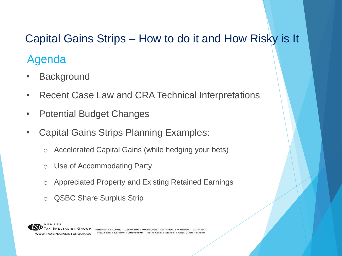# Capital Gains Strips – How to do it and How Risky is It

# Agenda

- Background
- Recent Case Law and CRA Technical Interpretations
- Potential Budget Changes
- Capital Gains Strips Planning Examples:
	- o Accelerated Capital Gains (while hedging your bets)
	- o Use of Accommodating Party
	- o Appreciated Property and Existing Retained Earnings
	- o QSBC Share Surplus Strip

TORONTO | CALGARY | EDMONTON | VANCOUVER | MONTREAL | WINNIPEG | SAINT JOHN NEW YORK I LONDON | AMSTERDAM | HONG KONG | BELJING | SHEN ZHEN | WWW.TAXSPECIALISTGROUP.CA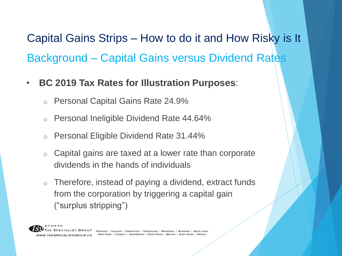Background – Capital Gains versus Dividend Rates Capital Gains Strips – How to do it and How Risky is It

- **BC 2019 Tax Rates for Illustration Purposes**:
	- o Personal Capital Gains Rate 24.9%
	- o Personal Ineligible Dividend Rate 44.64%
	- o Personal Eligible Dividend Rate 31.44%
	- o Capital gains are taxed at a lower rate than corporate dividends in the hands of individuals
	- $\circ$  Therefore, instead of paying a dividend, extract funds from the corporation by triggering a capital gain ("surplus stripping")

**TAXSPECIALISTGROUP.CA**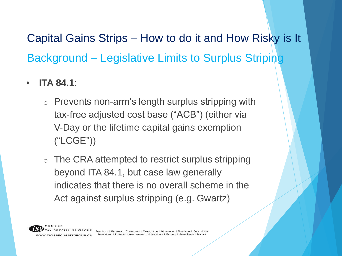Background – Legislative Limits to Surplus Striping Capital Gains Strips – How to do it and How Risky is It

- **ITA 84.1**:
	- o Prevents non-arm's length surplus stripping with tax-free adjusted cost base ("ACB") (either via V-Day or the lifetime capital gains exemption ("LCGE"))
	- o The CRA attempted to restrict surplus stripping beyond ITA 84.1, but case law generally indicates that there is no overall scheme in the Act against surplus stripping (e.g. Gwartz)

WWW.TAXSPECIALISTGROUP.CA

SPECIALIST GROUP TORONTO | CALGARY | EDMONTON | VANCOUVER | MONTREAL | WINNIPEG | NEW YORK I LONDON I AMSTERDAM I HONG KONG I BEIJING I SHEN ZHEN I MACAO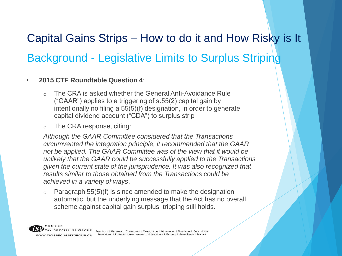# **Background - Legislative Limits to Surplus Striping** Capital Gains Strips – How to do it and How Risky is It

#### • **2015 CTF Roundtable Question 4**:

- $\circ$  The CRA is asked whether the General Anti-Avoidance Rule ("GAAR") applies to a triggering of s.55(2) capital gain by intentionally no filing a 55(5)(f) designation, in order to generate capital dividend account ("CDA") to surplus strip
- o The CRA response, citing:

*Although the GAAR Committee considered that the Transactions circumvented the integration principle, it recommended that the GAAR not be applied. The GAAR Committee was of the view that it would be unlikely that the GAAR could be successfully applied to the Transactions given the current state of the jurisprudence. It was also recognized that results similar to those obtained from the Transactions could be achieved in a variety of ways*.

 $\circ$  Paragraph 55(5)(f) is since amended to make the designation automatic, but the underlying message that the Act has no overall scheme against capital gain surplus tripping still holds.

X SPECIALIST GROUP TORONTO | CALGARY | EDMONTON | VANCOUVER | MONTREAL | WINNIPEG | SAINT JOHN NEW YORK I LONDON I AMSTERDAM I HONG KONG I BEIJING I SHEN ZHEN I MACAO WWW.TAXSPECIALISTGROUP.CA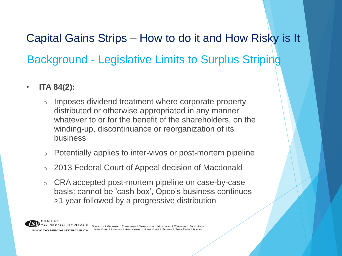Background - Legislative Limits to Surplus Striping Capital Gains Strips – How to do it and How Risky is It

- **ITA 84(2):**
	- o Imposes dividend treatment where corporate property distributed or otherwise appropriated in any manner whatever to or for the benefit of the shareholders, on the winding-up, discontinuance or reorganization of its business
	- o Potentially applies to inter-vivos or post-mortem pipeline
	- o 2013 Federal Court of Appeal decision of Macdonald
	- o CRA accepted post-mortem pipeline on case-by-case basis: cannot be 'cash box', Opco's business continues >1 year followed by a progressive distribution

WWW.TAXSPECIALISTGROUP.CA

PECIALIST GROUP TORONTO | CALGARY | EDMONTON | VANCOUVER | MONTREAL | WINNIPEG | SAINT JOHN NEW YORK | LONDON | AMSTERDAM | HONG KONG | BEIJING | SHEN ZHEN |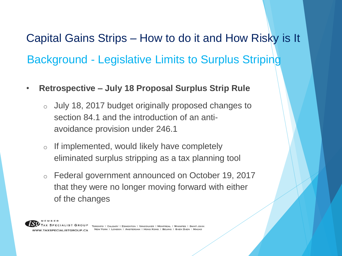Background - Legislative Limits to Surplus Striping Capital Gains Strips – How to do it and How Risky is It

- **Retrospective – July 18 Proposal Surplus Strip Rule**
	- o July 18, 2017 budget originally proposed changes to section 84.1 and the introduction of an antiavoidance provision under 246.1
	- o If implemented, would likely have completely eliminated surplus stripping as a tax planning tool
	- o Federal government announced on October 19, 2017 that they were no longer moving forward with either of the changes



ECIALIST GROUP TORONTO I CALGARY I EDMONTON I VANCOUVER I MONTREAL I WINNIPEG I SAINT JOHN NEW YORK | LONDON | AMSTERDAM | HONG KONG | BEIJING | SHEN ZHEN |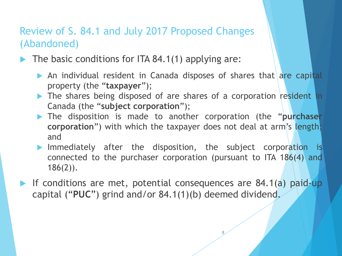#### Review of S. 84.1 and July 2017 Proposed Changes (Abandoned)

- The basic conditions for ITA 84.1(1) applying are:
	- An individual resident in Canada disposes of shares that are capital property (the "**taxpayer**");
	- The shares being disposed of are shares of a corporation resident in Canada (the "**subject corporation**");
	- The disposition is made to another corporation (the "**purchaser corporation**") with which the taxpayer does not deal at arm's length; and
	- Immediately after the disposition, the subject corporation is connected to the purchaser corporation (pursuant to ITA 186(4) and 186(2)).

8

If conditions are met, potential consequences are  $84.1(a)$  paid-up capital ("**PUC**") grind and/or 84.1(1)(b) deemed dividend.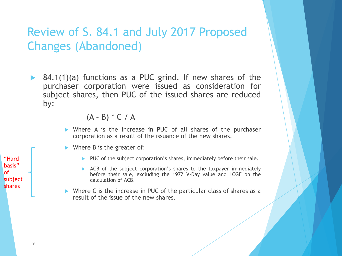# Review of S. 84.1 and July 2017 Proposed Changes (Abandoned)

▶ 84.1(1)(a) functions as a PUC grind. If new shares of the purchaser corporation were issued as consideration for subject shares, then PUC of the issued shares are reduced by:

 $(A - B) * C / A$ 

- Where A is the increase in PUC of all shares of the purchaser corporation as a result of the issuance of the new shares.
- $\blacktriangleright$  Where B is the greater of:
	- $\blacktriangleright$  PUC of the subject corporation's shares, immediately before their sale.
	- $\triangleright$  ACB of the subject corporation's shares to the taxpayer immediately before their sale, excluding the 1972 V-Day value and LCGE on the calculation of ACB.
- Where C is the increase in PUC of the particular class of shares as a result of the issue of the new shares.

"Hard basis" of subject shares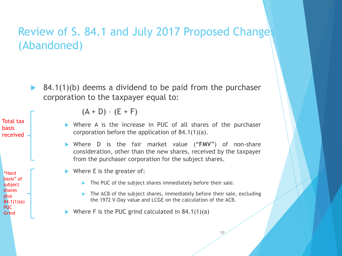#### Review of S. 84.1 and July 2017 Proposed Changes (Abandoned)

 $\triangleright$  84.1(1)(b) deems a dividend to be paid from the purchaser corporation to the taxpayer equal to:

Total tax basis received

"Hard basis" of subject shares plus 84.1(1)(a) PUC Grind

 $(A + D) - (E + F)$ 

- Where A is the increase in PUC of all shares of the purchaser corporation before the application of 84.1(1)(a).
- Where D is the fair market value ("**FMV**") of non-share consideration, other than the new shares, received by the taxpayer from the purchaser corporation for the subject shares.
- $\blacktriangleright$  Where E is the greater of:
	- The PUC of the subject shares immediately before their sale.
	- The ACB of the subject shares, immediately before their sale, excluding the 1972 V-Day value and LCGE on the calculation of the ACB.
- Where F is the PUC grind calculated in  $84.1(1)(a)$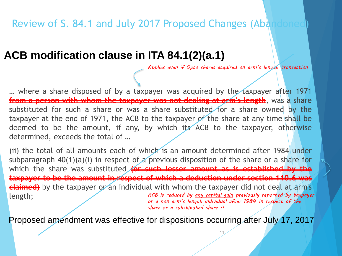#### Review of S. 84.1 and July 2017 Proposed Changes (Abandoned)

#### **ACB modification clause in ITA 84.1(2)(a.1)**

*Applies even if Opco shares acquired on arm's length transaction*

… where a share disposed of by a taxpayer was acquired by the taxpayer after 1971 **from a person with whom the taxpayer was not dealing at arm's length**, was a share substituted for such a share or was a share substituted for a share owned by the taxpayer at the end of 1971, the ACB to the taxpayer of the share at any time shall be deemed to be the amount, if any, by which its ACB to the taxpayer, otherwise determined, exceeds the total of …

(ii) the total of all amounts each of which is an amount determined after 1984 under subparagraph 40(1)(a)(i) in respect of a previous disposition of the share or a share for which the share was substituted **(or such lesser amount as is established by the taxpayer to be the amount in respect of which a deduction under section 110.6 was claimed)** by the taxpayer or an individual with whom the taxpayer did not deal at arm's length; *ACB is reduced by any capital gain previously reported by taxpayer or a non-arm's length individual after 1984 in respect of the* 

*share or a substituted share !!*

11

Proposed amendment was effective for dispositions occurring after July 17, 2017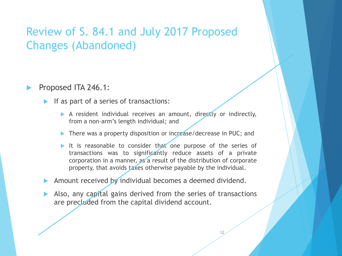#### Review of S. 84.1 and July 2017 Proposed Changes (Abandoned)

#### Proposed ITA 246.1:

- If as part of a series of transactions:
	- A resident individual receives an amount, directly or indirectly, from a non-arm's length individual; and
	- There was a property disposition or increase/decrease in PUC; and
	- It is reasonable to consider that one purpose of the series of transactions was to significantly reduce assets of a private corporation in a manner, as a result of the distribution of corporate property, that avoids taxes otherwise payable by the individual.

Amount received by individual becomes a deemed dividend.

 Also, any capital gains derived from the series of transactions are precladed from the capital dividend account.

12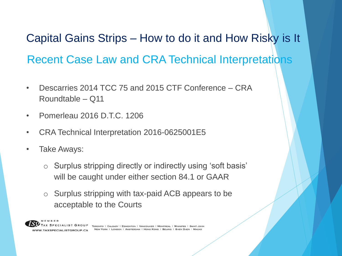Recent Case Law and CRA Technical Interpretations Capital Gains Strips – How to do it and How Risky is It

- Descarries 2014 TCC 75 and 2015 CTF Conference CRA Roundtable – Q11
- Pomerleau 2016 D.T.C. 1206
- CRA Technical Interpretation 2016-0625001E5
- Take Aways:
	- o Surplus stripping directly or indirectly using 'soft basis' will be caught under either section 84.1 or GAAR
	- o Surplus stripping with tax-paid ACB appears to be acceptable to the Courts

WWW.TAXSPECIALISTGROUP.CA

ECIALIST GROUP TORONTO | CALGARY | EDMONTON | VANCOUVER | MONTREAL | WINNIPEG | SAINT JOHN NEW YORK | LONDON | AMSTERDAM | HONG KONG | BEIJING | SHEN ZHEN |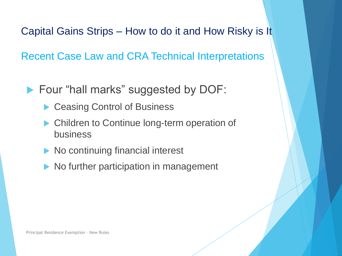Capital Gains Strips – How to do it and How Risky is It

Recent Case Law and CRA Technical Interpretations

- ▶ Four "hall marks" suggested by DOF:
	- ▶ Ceasing Control of Business
	- **Children to Continue long-term operation of** business
	- No continuing financial interest
	- No further participation in management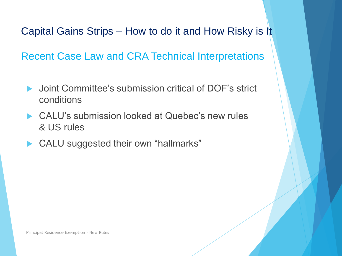Capital Gains Strips – How to do it and How Risky is It

Recent Case Law and CRA Technical Interpretations

- Joint Committee's submission critical of DOF's strict conditions
- ▶ CALU's submission looked at Quebec's new rules & US rules
- ▶ CALU suggested their own "hallmarks"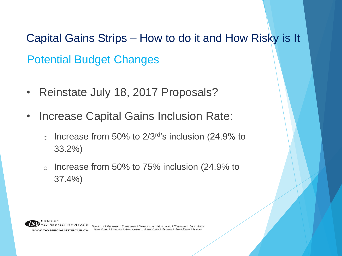Potential Budget Changes Capital Gains Strips – How to do it and How Risky is It

- Reinstate July 18, 2017 Proposals?
- Increase Capital Gains Inclusion Rate:
	- $\circ$  Increase from 50% to 2/3 $rd$ 's inclusion (24.9% to 33.2%)
	- o Increase from 50% to 75% inclusion (24.9% to 37.4%)



TORONTO | CALGARY | EDMONTON | VANCOUVER | MONTREAL | WINNIPEG | SAINT JOHN NEW YORK | LONDON | AMSTERDAM | HONG KONG | BEIJING |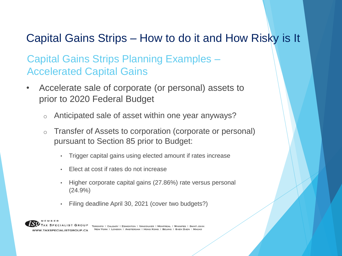### Capital Gains Strips – How to do it and How Risky is It

Capital Gains Strips Planning Examples – Accelerated Capital Gains

- Accelerate sale of corporate (or personal) assets to prior to 2020 Federal Budget
	- o Anticipated sale of asset within one year anyways?
	- o Transfer of Assets to corporation (corporate or personal) pursuant to Section 85 prior to Budget:
		- Trigger capital gains using elected amount if rates increase
		- Elect at cost if rates do not increase
		- Higher corporate capital gains (27.86%) rate versus personal (24.9%)
		- Filing deadline April 30, 2021 (cover two budgets?)



ECIALIST GROUP TORONTO | CALGARY | EDMONTON | VANCOUVER | MONTREAL | WINNIPEG | SAINT JOHN NEW YORK | LONDON | AMSTERDAM | HONG KONG | BEIJING | SHEN ZHEN |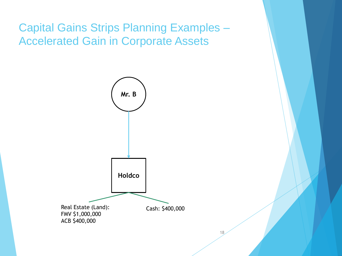Capital Gains Strips Planning Examples – Accelerated Gain in Corporate Assets

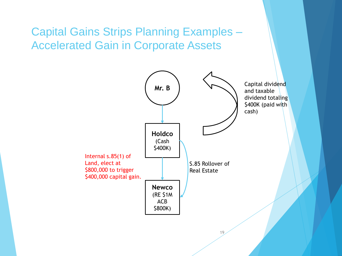Capital Gains Strips Planning Examples – Accelerated Gain in Corporate Assets

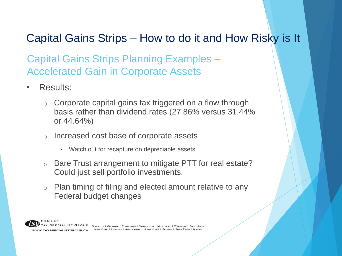## Capital Gains Strips – How to do it and How Risky is It

Capital Gains Strips Planning Examples – Accelerated Gain in Corporate Assets

- Results:
	- o Corporate capital gains tax triggered on a flow through basis rather than dividend rates (27.86% versus 31.44% or 44.64%)
	- o Increased cost base of corporate assets
		- Watch out for recapture on depreciable assets
	- o Bare Trust arrangement to mitigate PTT for real estate? Could just sell portfolio investments.
	- o Plan timing of filing and elected amount relative to any Federal budget changes

WWW.TAXSPECIALISTGROUP.CA

ECIALIST GROUP TORONTO | CALGARY | EDMONTON | VANCOUVER | MONTREAL | WINNIPEG | SAINT JOHN NEW YORK | LONDON | AMSTERDAM | HONG KONG | BELJING | SHEN ZHEN |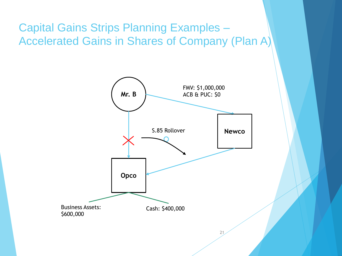Capital Gains Strips Planning Examples – Accelerated Gains in Shares of Company (Plan A)

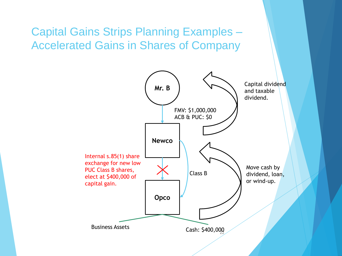Capital Gains Strips Planning Examples – Accelerated Gains in Shares of Company

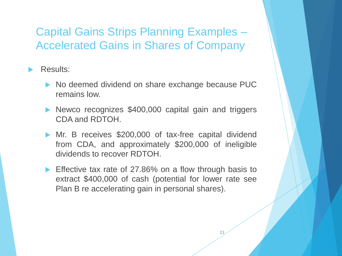#### Capital Gains Strips Planning Examples – Accelerated Gains in Shares of Company

#### Results:

- No deemed dividend on share exchange because PUC remains low.
- Newco recognizes \$400,000 capital gain and triggers CDA and RDTOH.
- **Mr. B receives \$200,000 of tax-free capital dividend** from CDA, and approximately \$200,000 of ineligible dividends to recover RDTOH.
- Effective tax rate of 27.86% on a flow through basis to extract \$400,000 of cash (potential for lower rate see Plan B re accelerating gain in personal shares).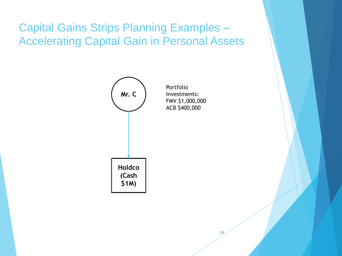## Capital Gains Strips Planning Examples – Accelerating Capital Gain in Personal Assets



Portfolio Investments: FMV \$1,000,000 ACB \$400,000

24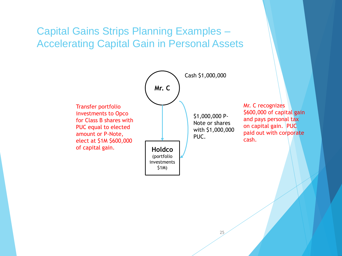#### Capital Gains Strips Planning Examples – Accelerating Capital Gain in Personal Assets

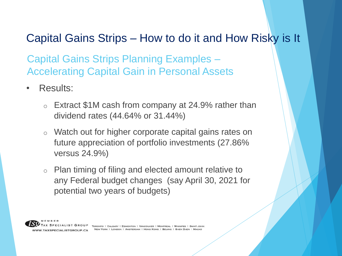### Capital Gains Strips – How to do it and How Risky is It

Capital Gains Strips Planning Examples – Accelerating Capital Gain in Personal Assets

- Results:
	- $\circ$  Extract \$1M cash from company at 24.9% rather than dividend rates (44.64% or 31.44%)
	- o Watch out for higher corporate capital gains rates on future appreciation of portfolio investments (27.86% versus 24.9%)
	- o Plan timing of filing and elected amount relative to any Federal budget changes (say April 30, 2021 for potential two years of budgets)

ECIALIST GROUP WWW.TAXSPECIALISTGROUP.CA

TORONTO | CALGARY | EDMONTON | VANCOUVER | MONTREAL | WINNIPEG | SAINT JOHN NEW YORK | LONDON | AMSTERDAM | HONG KONG | BEIJING | SHEN ZHEN |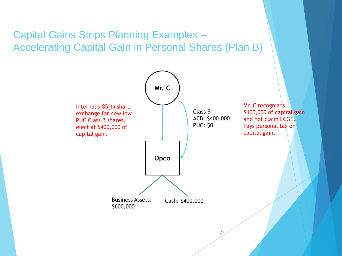#### Capital Gains Strips Planning Examples – Accelerating Capital Gain in Personal Shares (Plan B)

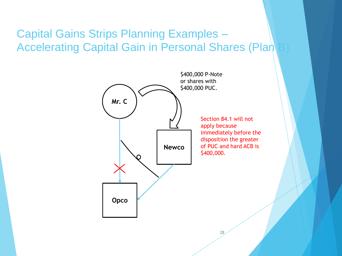#### Capital Gains Strips Planning Examples – Accelerating Capital Gain in Personal Shares (Plan

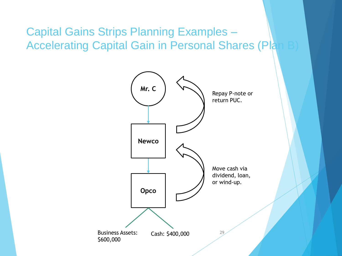Capital Gains Strips Planning Examples – Accelerating Capital Gain in Personal Shares (Pla

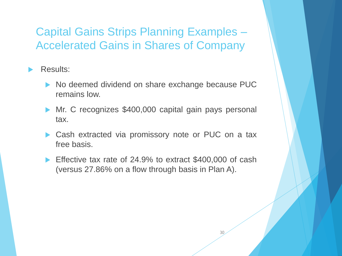### Capital Gains Strips Planning Examples – Accelerated Gains in Shares of Company

#### Results:

- No deemed dividend on share exchange because PUC remains low.
- Mr. C recognizes \$400,000 capital gain pays personal tax.
- Cash extracted via promissory note or PUC on a tax free basis.
- Effective tax rate of 24.9% to extract \$400,000 of cash (versus 27.86% on a flow through basis in Plan A).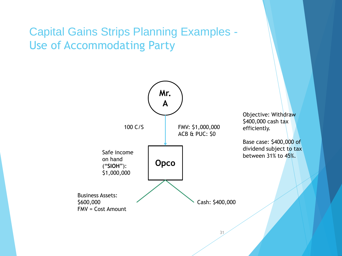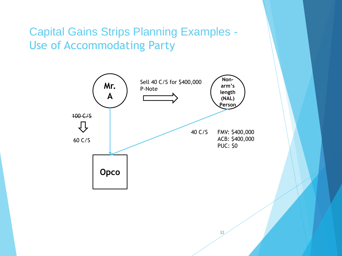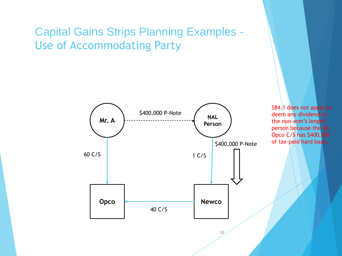

S84.1 does not apply to deem any dividend to the non-arm's length person because the 40 Opco C/S has \$400,000 of tax-paid hard basis.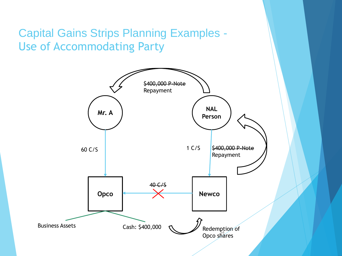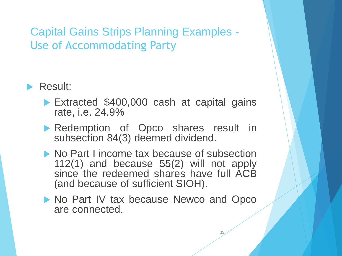

- Extracted \$400,000 cash at capital gains rate, i.e. 24.9%
- **Redemption of Opco shares result in** subsection 84(3) deemed dividend.
- No Part I income tax because of subsection 112(1) and because 55(2) will not apply since the redeemed shares have full ACB (and because of sufficient SIOH).
- No Part IV tax because Newco and Opco are connected.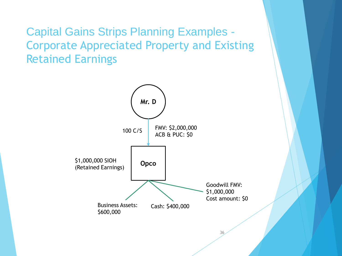Capital Gains Strips Planning Examples - Corporate Appreciated Property and Existing Retained Earnings

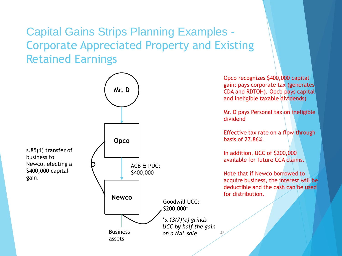### Capital Gains Strips Planning Examples - Corporate Appreciated Property and Existing Retained Earnings



Opco recognizes \$400,000 capital gain; pays corporate tax (generates CDA and RDTOH). Opco pays capital and ineligible taxable dividends)

Mr. D pays Personal tax on ineligible

Effective tax rate on a flow through

available for future CCA claims.

Note that if Newco borrowed to acquire business, the interest will be deductible and the cash can be used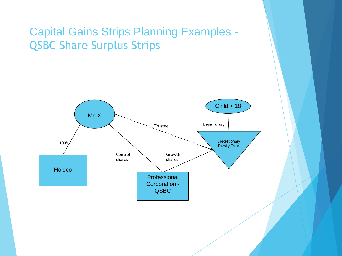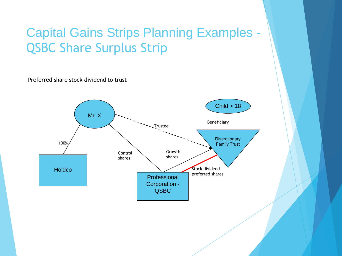Preferred share stock dividend to trust

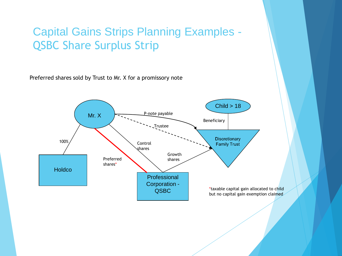Preferred shares sold by Trust to Mr. X for a promissory note

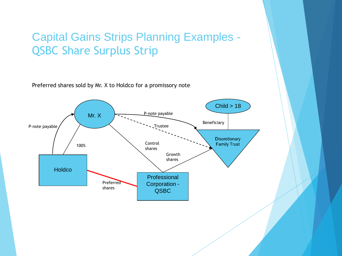Preferred shares sold by Mr. X to Holdco for a promissory note

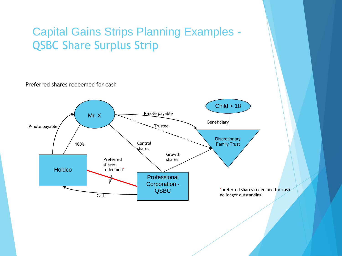Preferred shares redeemed for cash

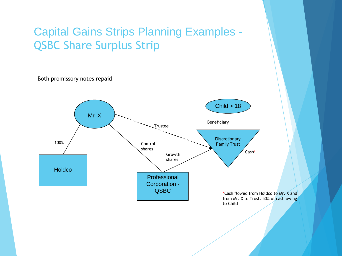Both promissory notes repaid

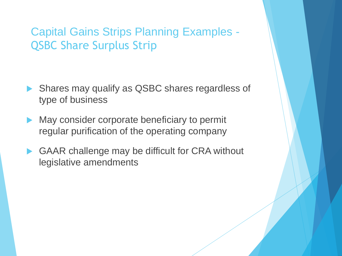- Shares may qualify as QSBC shares regardless of type of business
- May consider corporate beneficiary to permit regular purification of the operating company
- GAAR challenge may be difficult for CRA without legislative amendments